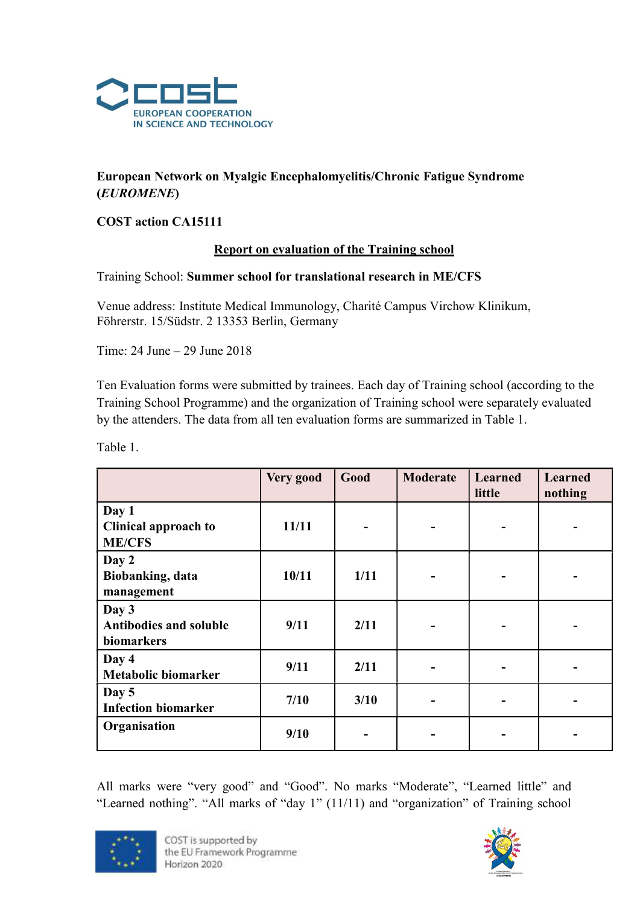

# European Network on Myalgic Encephalomyelitis/Chronic Fatigue Syndrome (EUROMENE)

### COST action CA15111

#### Report on evaluation of the Training school

#### Training School: Summer school for translational research in ME/CFS

Venue address: Institute Medical Immunology, Charité Campus Virchow Klinikum, Föhrerstr. 15/Südstr. 2 13353 Berlin, Germany

Time: 24 June – 29 June 2018

Ten Evaluation forms were submitted by trainees. Each day of Training school (according to the Training School Programme) and the organization of Training school were separately evaluated by the attenders. The data from all ten evaluation forms are summarized in Table 1.

Table 1.

|                                                       | Very good | Good | <b>Moderate</b> | <b>Learned</b><br>little | <b>Learned</b><br>nothing |
|-------------------------------------------------------|-----------|------|-----------------|--------------------------|---------------------------|
| Day 1<br><b>Clinical approach to</b><br><b>ME/CFS</b> | 11/11     |      |                 |                          |                           |
| Day 2<br>Biobanking, data<br>management               | 10/11     | 1/11 |                 |                          |                           |
| Day 3<br><b>Antibodies and soluble</b><br>biomarkers  | 9/11      | 2/11 |                 |                          |                           |
| Day 4<br><b>Metabolic biomarker</b>                   | 9/11      | 2/11 |                 |                          |                           |
| Day 5<br><b>Infection biomarker</b>                   | $7/10$    | 3/10 |                 |                          |                           |
| Organisation                                          | 9/10      |      |                 |                          |                           |

All marks were "very good" and "Good". No marks "Moderate", "Learned little" and "Learned nothing". "All marks of "day 1" (11/11) and "organization" of Training school